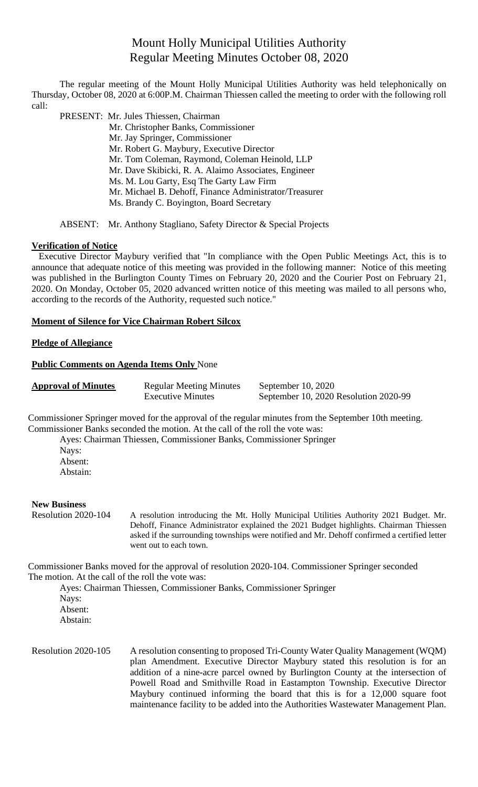# Mount Holly Municipal Utilities Authority Regular Meeting Minutes October 08, 2020

The regular meeting of the Mount Holly Municipal Utilities Authority was held telephonically on Thursday, October 08, 2020 at 6:00P.M. Chairman Thiessen called the meeting to order with the following roll call:

PRESENT: Mr. Jules Thiessen, Chairman

 Mr. Christopher Banks, Commissioner Mr. Jay Springer, Commissioner Mr. Robert G. Maybury, Executive Director Mr. Tom Coleman, Raymond, Coleman Heinold, LLP Mr. Dave Skibicki, R. A. Alaimo Associates, Engineer Ms. M. Lou Garty, Esq The Garty Law Firm Mr. Michael B. Dehoff, Finance Administrator/Treasurer Ms. Brandy C. Boyington, Board Secretary

ABSENT: Mr. Anthony Stagliano, Safety Director & Special Projects

## **Verification of Notice**

Executive Director Maybury verified that "In compliance with the Open Public Meetings Act, this is to announce that adequate notice of this meeting was provided in the following manner: Notice of this meeting was published in the Burlington County Times on February 20, 2020 and the Courier Post on February 21, 2020. On Monday, October 05, 2020 advanced written notice of this meeting was mailed to all persons who, according to the records of the Authority, requested such notice."

## **Moment of Silence for Vice Chairman Robert Silcox**

## **Pledge of Allegiance**

#### **Public Comments on Agenda Items Only** None

| <b>Approval of Minutes</b> | <b>Regular Meeting Minutes</b> | September 10, $2020$                  |
|----------------------------|--------------------------------|---------------------------------------|
|                            | <b>Executive Minutes</b>       | September 10, 2020 Resolution 2020-99 |

Commissioner Springer moved for the approval of the regular minutes from the September 10th meeting. Commissioner Banks seconded the motion. At the call of the roll the vote was:

Ayes: Chairman Thiessen, Commissioner Banks, Commissioner Springer

Nays: Absent: Abstain:

#### **New Business**

Resolution 2020-104 A resolution introducing the Mt. Holly Municipal Utilities Authority 2021 Budget. Mr. Dehoff, Finance Administrator explained the 2021 Budget highlights. Chairman Thiessen asked if the surrounding townships were notified and Mr. Dehoff confirmed a certified letter went out to each town.

Commissioner Banks moved for the approval of resolution 2020-104. Commissioner Springer seconded The motion. At the call of the roll the vote was:

Ayes: Chairman Thiessen, Commissioner Banks, Commissioner Springer Nays: Absent: Abstain:

Resolution 2020-105 A resolution consenting to proposed Tri-County Water Quality Management (WQM) plan Amendment. Executive Director Maybury stated this resolution is for an addition of a nine-acre parcel owned by Burlington County at the intersection of Powell Road and Smithville Road in Eastampton Township. Executive Director Maybury continued informing the board that this is for a 12,000 square foot maintenance facility to be added into the Authorities Wastewater Management Plan.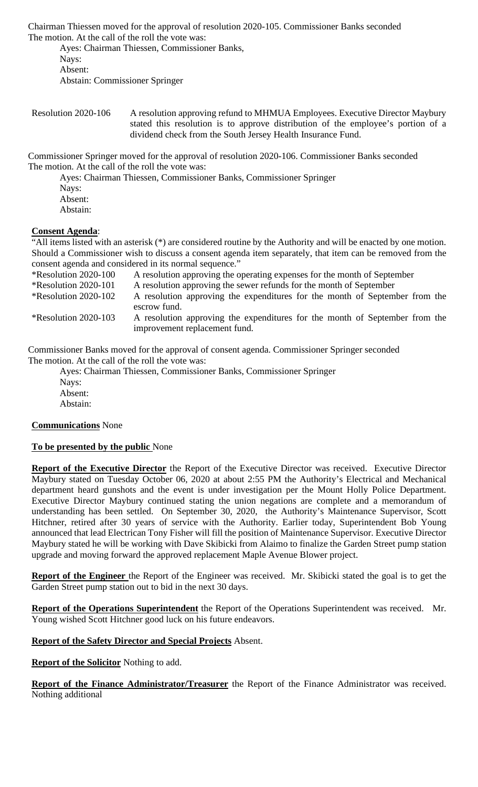Chairman Thiessen moved for the approval of resolution 2020-105. Commissioner Banks seconded The motion. At the call of the roll the vote was:

Ayes: Chairman Thiessen, Commissioner Banks, Nays: Absent: Abstain: Commissioner Springer

Resolution 2020-106 A resolution approving refund to MHMUA Employees. Executive Director Maybury stated this resolution is to approve distribution of the employee's portion of a dividend check from the South Jersey Health Insurance Fund.

Commissioner Springer moved for the approval of resolution 2020-106. Commissioner Banks seconded The motion. At the call of the roll the vote was:

Ayes: Chairman Thiessen, Commissioner Banks, Commissioner Springer Nays: Absent: Abstain:

# **Consent Agenda**:

"All items listed with an asterisk (\*) are considered routine by the Authority and will be enacted by one motion. Should a Commissioner wish to discuss a consent agenda item separately, that item can be removed from the consent agenda and considered in its normal sequence."<br>\*Resolution 2020-100 A resolution approving the o

A resolution approving the operating expenses for the month of September \*Resolution 2020-101 A resolution approving the sewer refunds for the month of September \*Resolution 2020-102 A resolution approving the expenditures for the month of September from the escrow fund. \*Resolution 2020-103 A resolution approving the expenditures for the month of September from the improvement replacement fund.

Commissioner Banks moved for the approval of consent agenda. Commissioner Springer seconded The motion. At the call of the roll the vote was:

Ayes: Chairman Thiessen, Commissioner Banks, Commissioner Springer Nays: Absent: Abstain:

**Communications** None

# **To be presented by the public** None

**Report of the Executive Director** the Report of the Executive Director was received. Executive Director Maybury stated on Tuesday October 06, 2020 at about 2:55 PM the Authority's Electrical and Mechanical department heard gunshots and the event is under investigation per the Mount Holly Police Department. Executive Director Maybury continued stating the union negations are complete and a memorandum of understanding has been settled. On September 30, 2020, the Authority's Maintenance Supervisor, Scott Hitchner, retired after 30 years of service with the Authority. Earlier today, Superintendent Bob Young announced that lead Electrican Tony Fisher will fill the position of Maintenance Supervisor. Executive Director Maybury stated he will be working with Dave Skibicki from Alaimo to finalize the Garden Street pump station upgrade and moving forward the approved replacement Maple Avenue Blower project.

**Report of the Engineer** the Report of the Engineer was received. Mr. Skibicki stated the goal is to get the Garden Street pump station out to bid in the next 30 days.

**Report of the Operations Superintendent** the Report of the Operations Superintendent was received. Mr. Young wished Scott Hitchner good luck on his future endeavors.

# **Report of the Safety Director and Special Projects** Absent.

**Report of the Solicitor** Nothing to add.

**Report of the Finance Administrator/Treasurer** the Report of the Finance Administrator was received. Nothing additional